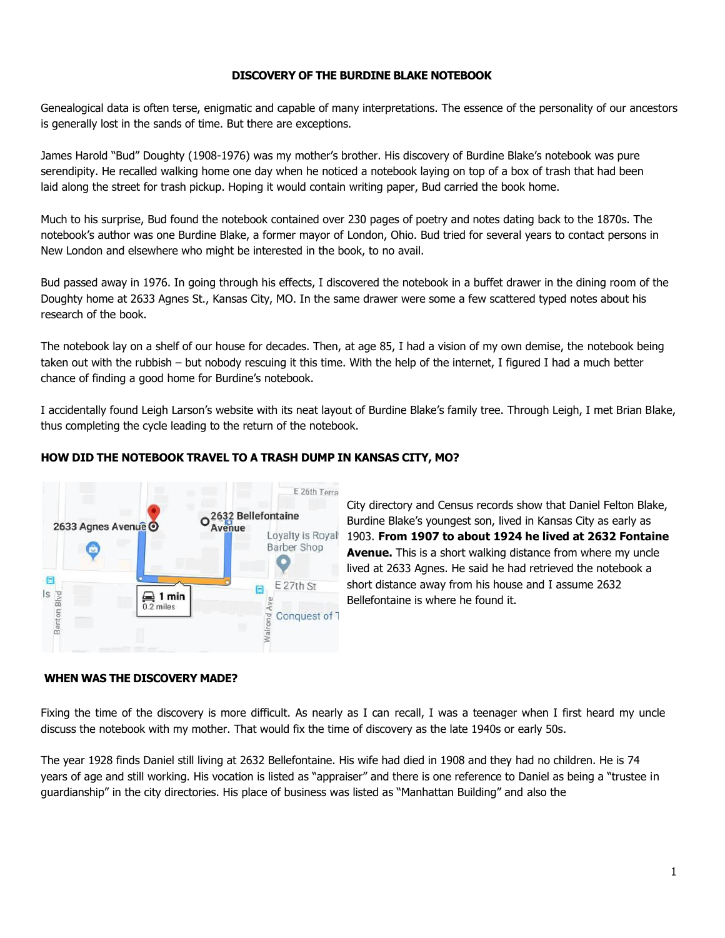## **DISCOVERY OF THE BURDINE BLAKE NOTEBOOK**

Genealogical data is often terse, enigmatic and capable of many interpretations. The essence of the personality of our ancestors is generally lost in the sands of time. But there are exceptions.

James Harold "Bud" Doughty (1908-1976) was my mother's brother. His discovery of Burdine Blake's notebook was pure serendipity. He recalled walking home one day when he noticed a notebook laying on top of a box of trash that had been laid along the street for trash pickup. Hoping it would contain writing paper, Bud carried the book home.

Much to his surprise, Bud found the notebook contained over 230 pages of poetry and notes dating back to the 1870s. The notebook's author was one Burdine Blake, a former mayor of London, Ohio. Bud tried for several years to contact persons in New London and elsewhere who might be interested in the book, to no avail.

Bud passed away in 1976. In going through his effects, I discovered the notebook in a buffet drawer in the dining room of the Doughty home at 2633 Agnes St., Kansas City, MO. In the same drawer were some a few scattered typed notes about his research of the book.

The notebook lay on a shelf of our house for decades. Then, at age 85, I had a vision of my own demise, the notebook being taken out with the rubbish – but nobody rescuing it this time. With the help of the internet, I figured I had a much better chance of finding a good home for Burdine's notebook.

I accidentally found Leigh Larson's website with its neat layout of Burdine Blake's family tree. Through Leigh, I met Brian Blake, thus completing the cycle leading to the return of the notebook.

## **HOW DID THE NOTEBOOK TRAVEL TO A TRASH DUMP IN KANSAS CITY, MO?**



City directory and Census records show that Daniel Felton Blake, Burdine Blake's youngest son, lived in Kansas City as early as 1903. **From 1907 to about 1924 he lived at 2632 Fontaine Avenue.** This is a short walking distance from where my uncle lived at 2633 Agnes. He said he had retrieved the notebook a short distance away from his house and I assume 2632 Bellefontaine is where he found it.

### **WHEN WAS THE DISCOVERY MADE?**

Fixing the time of the discovery is more difficult. As nearly as I can recall, I was a teenager when I first heard my uncle discuss the notebook with my mother. That would fix the time of discovery as the late 1940s or early 50s.

The year 1928 finds Daniel still living at 2632 Bellefontaine. His wife had died in 1908 and they had no children. He is 74 years of age and still working. His vocation is listed as "appraiser" and there is one reference to Daniel as being a "trustee in guardianship" in the city directories. His place of business was listed as "Manhattan Building" and also the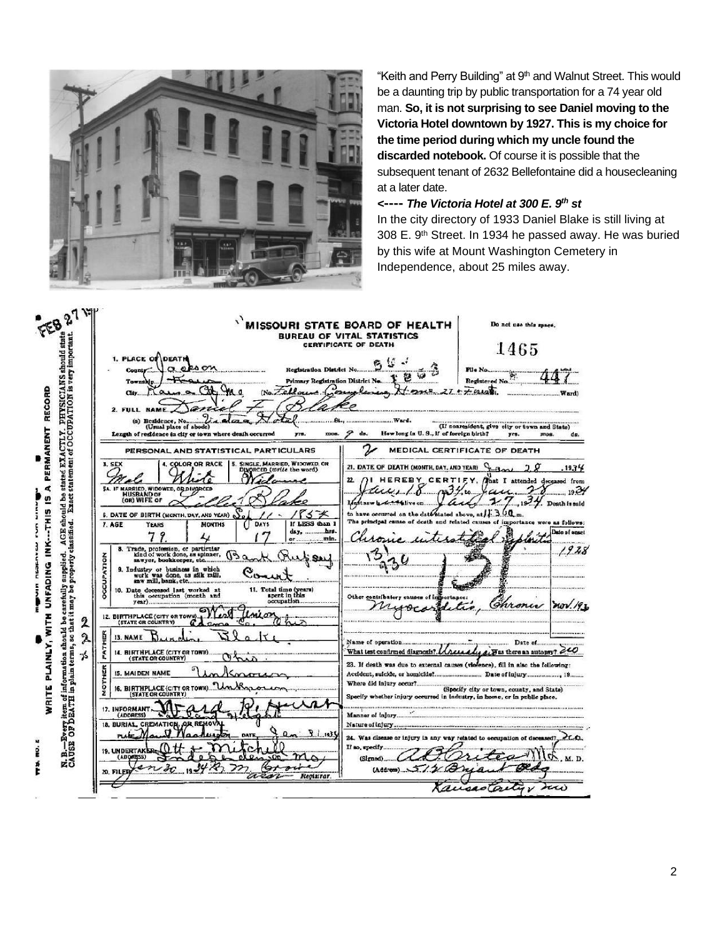

"Keith and Perry Building" at 9<sup>th</sup> and Walnut Street. This would be a daunting trip by public transportation for a 74 year old man. **So, it is not surprising to see Daniel moving to the Victoria Hotel downtown by 1927. This is my choice for the time period during which my uncle found the discarded notebook.** Of course it is possible that the subsequent tenant of 2632 Bellefontaine did a housecleaning at a later date.

#### *<***----** *The Victoria Hotel at 300 E. 9 th st*

In the city directory of 1933 Daniel Blake is still living at 308 E. 9th Street. In 1934 he passed away. He was buried by this wife at Mount Washington Cemetery in Independence, about 25 miles away.



2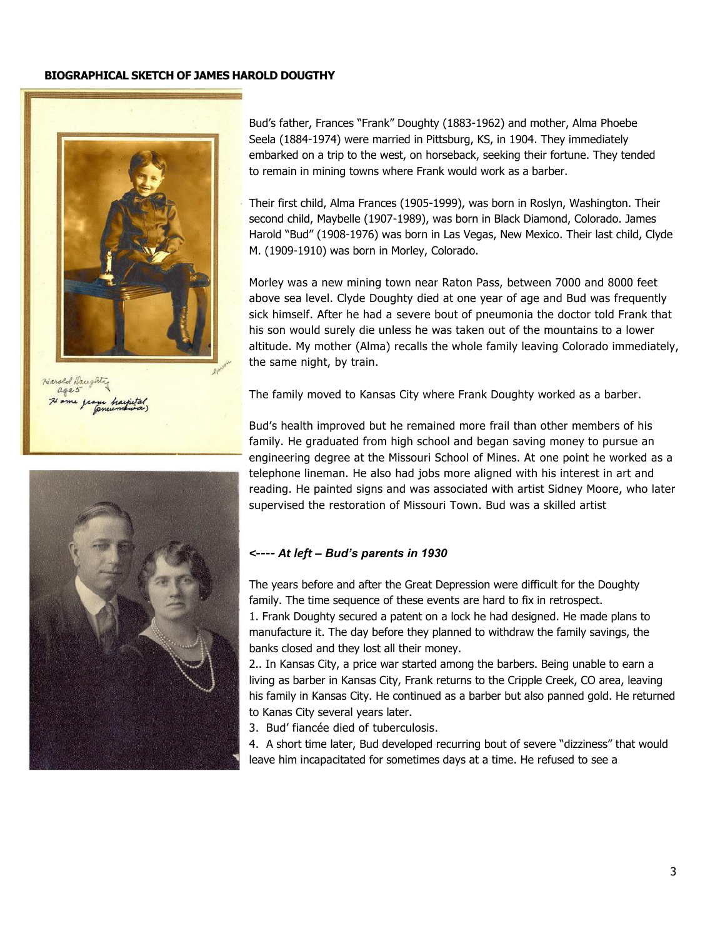### **BIOGRAPHICAL SKETCH OF JAMES HAROLD DOUGTHY**



Harold Daughty ages



Bud's father, Frances "Frank" Doughty (1883-1962) and mother, Alma Phoebe Seela (1884-1974) were married in Pittsburg, KS, in 1904. They immediately embarked on a trip to the west, on horseback, seeking their fortune. They tended to remain in mining towns where Frank would work as a barber.

Their first child, Alma Frances (1905-1999), was born in Roslyn, Washington. Their second child, Maybelle (1907-1989), was born in Black Diamond, Colorado. James Harold "Bud" (1908-1976) was born in Las Vegas, New Mexico. Their last child, Clyde M. (1909-1910) was born in Morley, Colorado.

Morley was a new mining town near Raton Pass, between 7000 and 8000 feet above sea level. Clyde Doughty died at one year of age and Bud was frequently sick himself. After he had a severe bout of pneumonia the doctor told Frank that his son would surely die unless he was taken out of the mountains to a lower altitude. My mother (Alma) recalls the whole family leaving Colorado immediately, the same night, by train.

The family moved to Kansas City where Frank Doughty worked as a barber.

Bud's health improved but he remained more frail than other members of his family. He graduated from high school and began saving money to pursue an engineering degree at the Missouri School of Mines. At one point he worked as a telephone lineman. He also had jobs more aligned with his interest in art and reading. He painted signs and was associated with artist Sidney Moore, who later supervised the restoration of Missouri Town. Bud was a skilled artist

## *<***----** *At left – Bud's parents in 1930*

The years before and after the Great Depression were difficult for the Doughty family. The time sequence of these events are hard to fix in retrospect. 1. Frank Doughty secured a patent on a lock he had designed. He made plans to manufacture it. The day before they planned to withdraw the family savings, the banks closed and they lost all their money.

2.. In Kansas City, a price war started among the barbers. Being unable to earn a living as barber in Kansas City, Frank returns to the Cripple Creek, CO area, leaving his family in Kansas City. He continued as a barber but also panned gold. He returned to Kanas City several years later.

3. Bud' fiancée died of tuberculosis.

4. A short time later, Bud developed recurring bout of severe "dizziness" that would leave him incapacitated for sometimes days at a time. He refused to see a